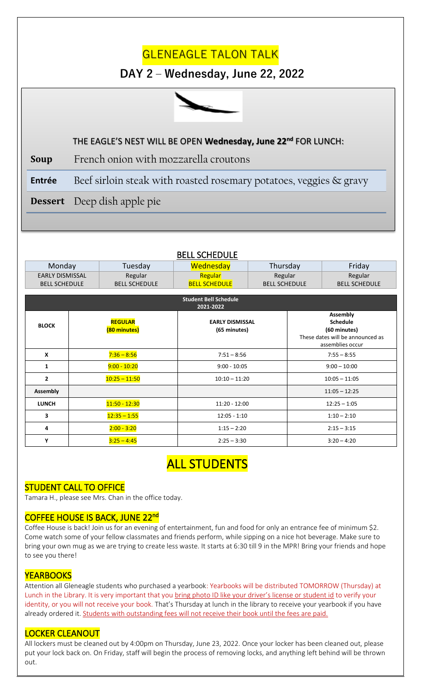# **GLENEAGLE TALON TALK**

### **DAY 2 – Wednesday, June 22, 2022**



#### **STUDENT SECTION** THE EAGLE'S NEST WILL BE OPEN **Wednesday, June 22 nd** FOR LUNCH:

**Soup** French onion with mozzarella croutons

**Entrée** Beef sirloin steak with roasted rosemary potatoes, veggies & gravy

**Dessert** Deep dish apple pie

| Monday                                    |                                | Tuesday              | Wednesday                              | Thursday             |                                                                                                            | Friday               |
|-------------------------------------------|--------------------------------|----------------------|----------------------------------------|----------------------|------------------------------------------------------------------------------------------------------------|----------------------|
| <b>EARLY DISMISSAL</b>                    |                                | Regular              | Regular                                | Regular              |                                                                                                            | Regular              |
| <b>BELL SCHEDULE</b>                      |                                | <b>BELL SCHEDULE</b> | <b>BELL SCHEDULE</b>                   | <b>BELL SCHEDULE</b> |                                                                                                            | <b>BELL SCHEDULE</b> |
|                                           |                                |                      |                                        |                      |                                                                                                            |                      |
| <b>Student Bell Schedule</b><br>2021-2022 |                                |                      |                                        |                      |                                                                                                            |                      |
| <b>BLOCK</b>                              | <b>REGULAR</b><br>(80 minutes) |                      | <b>EARLY DISMISSAL</b><br>(65 minutes) |                      | <b>Assembly</b><br><b>Schedule</b><br>(60 minutes)<br>These dates will be announced as<br>assemblies occur |                      |
| $\mathbf{x}$                              |                                | $7:36 - 8:56$        | $7:51 - 8:56$                          |                      | $7:55 - 8:55$                                                                                              |                      |
| 1                                         |                                | $9:00 - 10:20$       | $9:00 - 10:05$                         |                      | $9:00 - 10:00$                                                                                             |                      |
| $\overline{2}$                            |                                | $10:25 - 11:50$      | $10:10 - 11:20$                        |                      | $10:05 - 11:05$                                                                                            |                      |
| <b>Assembly</b>                           |                                |                      |                                        |                      |                                                                                                            | $11:05 - 12:25$      |
| <b>LUNCH</b>                              |                                | $11:50 - 12:30$      | $11:20 - 12:00$                        |                      | $12:25 - 1:05$                                                                                             |                      |
| 3                                         |                                | $12:35 - 1:55$       | $12:05 - 1:10$                         |                      | $1:10 - 2:10$                                                                                              |                      |
| 4                                         |                                | $2:00 - 3:20$        | $1:15 - 2:20$                          |                      | $2:15 - 3:15$                                                                                              |                      |
| Y                                         |                                | $3:25 - 4:45$        | $2:25 - 3:30$                          |                      | $3:20 - 4:20$                                                                                              |                      |

#### BELL SCHEDULE

### ALL STUDENTS

#### STUDENT CALL TO OFFICE

Tamara H., please see Mrs. Chan in the office today.

#### COFFEE HOUSE IS BACK, JUNE 22<sup>nd</sup>

Coffee House is back! Join us for an evening of entertainment, fun and food for only an entrance fee of minimum \$2. Come watch some of your fellow classmates and friends perform, while sipping on a nice hot beverage. Make sure to bring your own mug as we are trying to create less waste. It starts at 6:30 till 9 in the MPR! Bring your friends and hope to see you there!

#### **YEARBOOKS**

 $\overline{a}$ 

Attention all Gleneagle students who purchased a yearbook: Yearbooks will be distributed TOMORROW (Thursday) at Lunch in the Library. It is very important that you bring photo ID like your driver's license or student id to verify your identity, or you will not receive your book. That's Thursday at lunch in the library to receive your yearbook if you have already ordered it. Students with outstanding fees will not receive their book until the fees are paid.

#### LOCKER CLEANOUT

All lockers must be cleaned out by 4:00pm on Thursday, June 23, 2022. Once your locker has been cleaned out, please put your lock back on. On Friday, staff will begin the process of removing locks, and anything left behind will be thrown out.